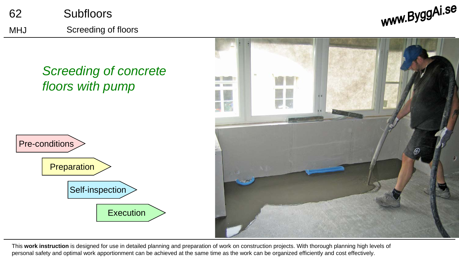





This **work instruction** is designed for use in detailed planning and preparation of work on construction projects. With thorough planning high levels of personal safety and optimal work apportionment can be achieved at the same time as the work can be organized efficiently and cost effectively.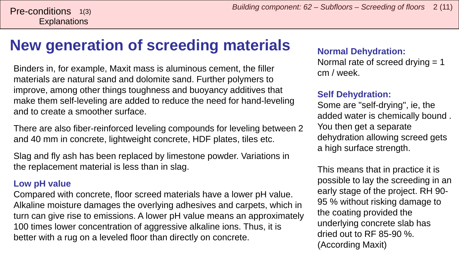# **New generation of screeding materials**

Binders in, for example, Maxit mass is aluminous cement, the filler materials are natural sand and dolomite sand. Further polymers to improve, among other things toughness and buoyancy additives that make them self-leveling are added to reduce the need for hand-leveling and to create a smoother surface.

There are also fiber-reinforced leveling compounds for leveling between 2 and 40 mm in concrete, lightweight concrete, HDF plates, tiles etc.

Slag and fly ash has been replaced by limestone powder. Variations in the replacement material is less than in slag.

#### **Low pH value**

Compared with concrete, floor screed materials have a lower pH value. Alkaline moisture damages the overlying adhesives and carpets, which in turn can give rise to emissions. A lower pH value means an approximately 100 times lower concentration of aggressive alkaline ions. Thus, it is better with a rug on a leveled floor than directly on concrete.

#### **Normal Dehydration:**

Normal rate of screed drying = 1 cm / week.

#### **Self Dehydration:**

Some are "self-drying", ie, the added water is chemically bound . You then get a separate dehydration allowing screed gets a high surface strength.

This means that in practice it is possible to lay the screeding in an early stage of the project. RH 90- 95 % without risking damage to the coating provided the underlying concrete slab has dried out to RF 85-90 %. (According Maxit)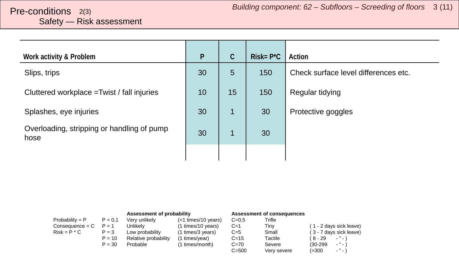# <span id="page-2-0"></span>Safety — Risk assessment

| Work activity & Problem                            | $\mathsf{P}$ | $\mathcal{C}$ | $Risk = P^{\star}C$ | Action                               |
|----------------------------------------------------|--------------|---------------|---------------------|--------------------------------------|
| Slips, trips                                       | 30           | 5             | 150                 | Check surface level differences etc. |
| Cluttered workplace = Twist / fall injuries        | 10           | 15            | 150                 | Regular tidying                      |
| Splashes, eye injuries                             | 30           | 1             | 30                  | Protective goggles                   |
| Overloading, stripping or handling of pump<br>hose | 30           |               | 30                  |                                      |
|                                                    |              |               |                     |                                      |

|                   |           | Assessment of probability |                     |           | Assessment of consequences |                                        |
|-------------------|-----------|---------------------------|---------------------|-----------|----------------------------|----------------------------------------|
| Probability = $P$ | $P = 0.1$ | Very unlikely             | (<1 times/10 years) | $C = 0.5$ | Trifle                     |                                        |
| $Consequence = C$ | $P = 1$   | Unlikelv                  | (1 times/10 years)  | $C=1$     | Tiny                       | (1 - 2 days sick leave)                |
| $Risk = P * C$    | $P = 3$   | Low probability           | (1 times/3 years)   | $C=5$     | Small                      | (3 - 7 days sick leave)                |
|                   | $P = 10$  | Relative probability      | (1 times/year)      | $C = 15$  | Tactile                    | ( 8 - 29<br>$\cdots$                   |
|                   | $P = 30$  | Probable                  | (1 times/month)     | $C=70$    | Severe                     | $ "$ $ \lambda$<br>$(30-299)$          |
|                   |           |                           |                     | $C = 500$ | Very severe                | $\sim$ $^{10}$ $\sim$ $^{11}$<br>(>300 |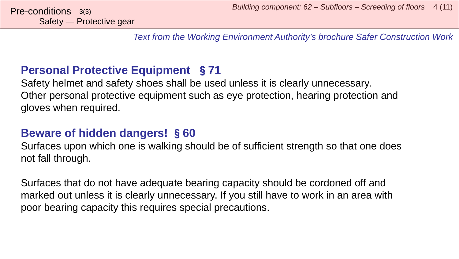*Text from the Working Environment Authority's brochure Safer Construction Work*

### **Personal Protective Equipment** §**71**

Safety helmet and safety shoes shall be used unless it is clearly unnecessary. Other personal protective equipment such as eye protection, hearing protection and gloves when required.

### **Beware of hidden dangers!** §**60**

Surfaces upon which one is walking should be of sufficient strength so that one does not fall through.

Surfaces that do not have adequate bearing capacity should be cordoned off and marked out unless it is clearly unnecessary. If you still have to work in an area with poor bearing capacity this requires special precautions.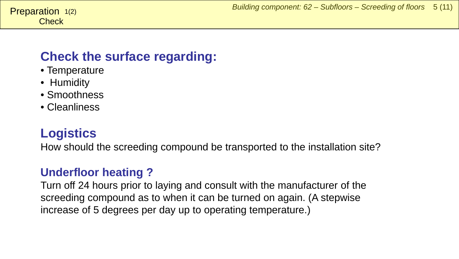### <span id="page-4-0"></span>**Check the surface regarding:**

- Temperature
- Humidity
- Smoothness
- Cleanliness

### **Logistics**

How should the screeding compound be transported to the installation site?

### **Underfloor heating ?**

Turn off 24 hours prior to laying and consult with the manufacturer of the screeding compound as to when it can be turned on again. (A stepwise increase of 5 degrees per day up to operating temperature.)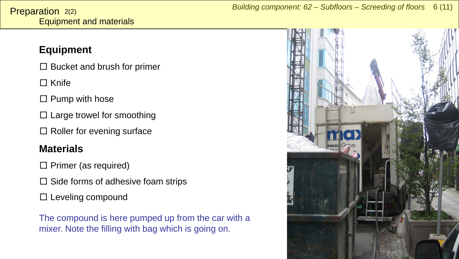### **Equipment**

 $\square$  Bucket and brush for primer

□ Knife

 $\square$  Pump with hose

 $\square$  Large trowel for smoothing

 $\square$  Roller for evening surface

### **Materials**

 $\square$  Primer (as required)

 $\square$  Side forms of adhesive foam strips

 $\square$  Leveling compound

The compound is here pumped up from the car with a mixer. Note the filling with bag which is going on.

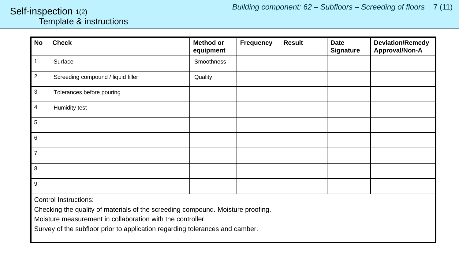#### <span id="page-6-0"></span>Template & instructions Self-inspection 1(2)

| <b>No</b>                    | <b>Check</b>                       | <b>Method or</b><br>equipment | Frequency | <b>Result</b> | <b>Date</b><br><b>Signature</b> | <b>Deviation/Remedy</b><br>Approval/Non-A |  |
|------------------------------|------------------------------------|-------------------------------|-----------|---------------|---------------------------------|-------------------------------------------|--|
| $\mathbf{1}$                 | Surface                            | Smoothness                    |           |               |                                 |                                           |  |
| $\overline{2}$               | Screeding compound / liquid filler | Quality                       |           |               |                                 |                                           |  |
| $\sqrt{3}$                   | Tolerances before pouring          |                               |           |               |                                 |                                           |  |
| $\overline{4}$               | Humidity test                      |                               |           |               |                                 |                                           |  |
| $\overline{5}$               |                                    |                               |           |               |                                 |                                           |  |
| $\,6\,$                      |                                    |                               |           |               |                                 |                                           |  |
| $\overline{7}$               |                                    |                               |           |               |                                 |                                           |  |
| 8                            |                                    |                               |           |               |                                 |                                           |  |
| $\boldsymbol{9}$             |                                    |                               |           |               |                                 |                                           |  |
| <b>Control Instructions:</b> |                                    |                               |           |               |                                 |                                           |  |

Checking the quality of materials of the screeding compound. Moisture proofing.

Moisture measurement in collaboration with the controller.

Survey of the subfloor prior to application regarding tolerances and camber.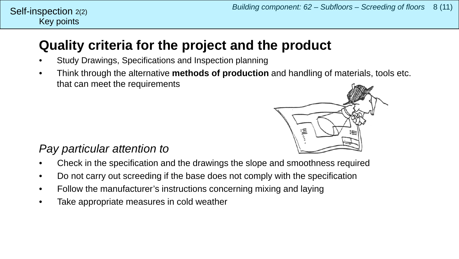#### Key points Self-inspection  $2(2)$

## **Quality criteria for the project and the product**

- Study Drawings, Specifications and Inspection planning
- Think through the alternative **methods of production** and handling of materials, tools etc. that can meet the requirements



### *Pay particular attention to*

- Check in the specification and the drawings the slope and smoothness required
- Do not carry out screeding if the base does not comply with the specification
- Follow the manufacturer's instructions concerning mixing and laying
- Take appropriate measures in cold weather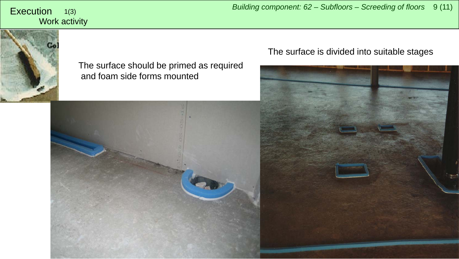Work activity 1(3)



#### The surface should be primed as required and foam side forms mounted



<span id="page-8-0"></span>*Building component: 62 – Subfloors – Screeding of floors* <sup>9</sup> (11) Execution

#### The surface is divided into suitable stages

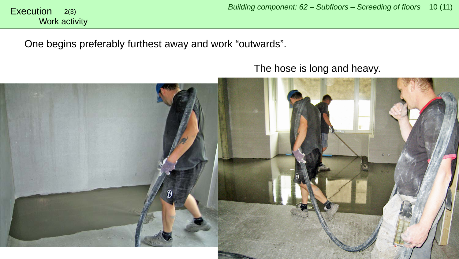One begins preferably furthest away and work "outwards".

The hose is long and heavy.